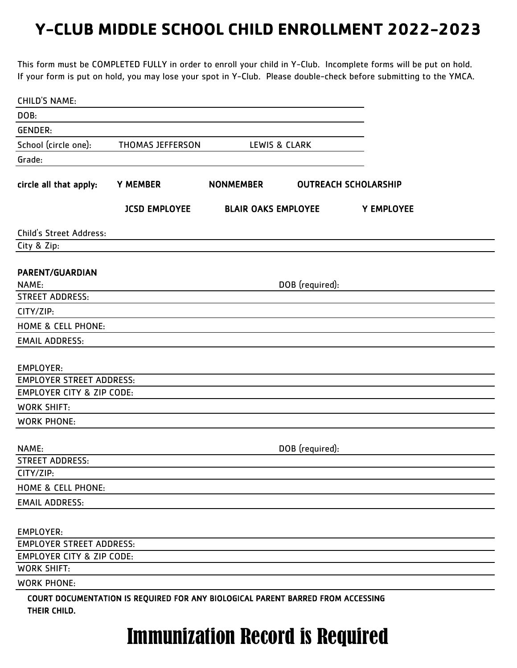This form must be COMPLETED FULLY in order to enroll your child in Y-Club. Incomplete forms will be put on hold. If your form is put on hold, you may lose your spot in Y-Club. Please double-check before submitting to the YMCA.

| <b>CHILD'S NAME:</b>                 |                                                                                 |                            |                             |            |  |
|--------------------------------------|---------------------------------------------------------------------------------|----------------------------|-----------------------------|------------|--|
| DOB:                                 |                                                                                 |                            |                             |            |  |
| <b>GENDER:</b>                       |                                                                                 |                            |                             |            |  |
| School (circle one):                 | <b>THOMAS JEFFERSON</b>                                                         |                            | LEWIS & CLARK               |            |  |
| Grade:                               |                                                                                 |                            |                             |            |  |
|                                      |                                                                                 |                            |                             |            |  |
| circle all that apply:               | <b>Y MEMBER</b>                                                                 | <b>NONMEMBER</b>           | <b>OUTREACH SCHOLARSHIP</b> |            |  |
|                                      | <b>JCSD EMPLOYEE</b>                                                            | <b>BLAIR OAKS EMPLOYEE</b> |                             | Y EMPLOYEE |  |
| Child's Street Address:              |                                                                                 |                            |                             |            |  |
| City & Zip:                          |                                                                                 |                            |                             |            |  |
|                                      |                                                                                 |                            |                             |            |  |
| PARENT/GUARDIAN                      |                                                                                 |                            |                             |            |  |
| NAME:<br><b>STREET ADDRESS:</b>      |                                                                                 |                            | DOB (required):             |            |  |
| CITY/ZIP:                            |                                                                                 |                            |                             |            |  |
| <b>HOME &amp; CELL PHONE:</b>        |                                                                                 |                            |                             |            |  |
| <b>EMAIL ADDRESS:</b>                |                                                                                 |                            |                             |            |  |
|                                      |                                                                                 |                            |                             |            |  |
| <b>EMPLOYER:</b>                     |                                                                                 |                            |                             |            |  |
| <b>EMPLOYER STREET ADDRESS:</b>      |                                                                                 |                            |                             |            |  |
| <b>EMPLOYER CITY &amp; ZIP CODE:</b> |                                                                                 |                            |                             |            |  |
| <b>WORK SHIFT:</b>                   |                                                                                 |                            |                             |            |  |
| <b>WORK PHONE:</b>                   |                                                                                 |                            |                             |            |  |
|                                      |                                                                                 |                            |                             |            |  |
| NAME:                                |                                                                                 |                            | DOB (required):             |            |  |
| <b>STREET ADDRESS:</b>               |                                                                                 |                            |                             |            |  |
| CITY/ZIP:                            |                                                                                 |                            |                             |            |  |
| HOME & CELL PHONE:                   |                                                                                 |                            |                             |            |  |
| <b>EMAIL ADDRESS:</b>                |                                                                                 |                            |                             |            |  |
|                                      |                                                                                 |                            |                             |            |  |
| <b>EMPLOYER:</b>                     |                                                                                 |                            |                             |            |  |
| <b>EMPLOYER STREET ADDRESS:</b>      |                                                                                 |                            |                             |            |  |
| <b>EMPLOYER CITY &amp; ZIP CODE:</b> |                                                                                 |                            |                             |            |  |
| <b>WORK SHIFT:</b>                   |                                                                                 |                            |                             |            |  |
| <b>WORK PHONE:</b>                   |                                                                                 |                            |                             |            |  |
| THEIR CHILD.                         | COURT DOCUMENTATION IS REQUIRED FOR ANY BIOLOGICAL PARENT BARRED FROM ACCESSING |                            |                             |            |  |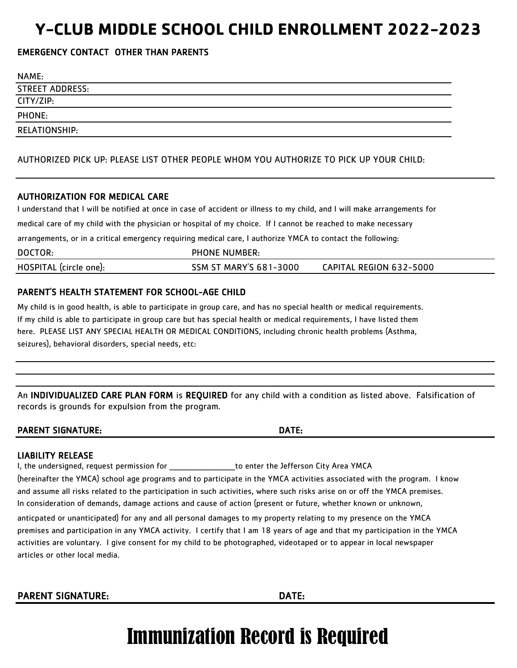### EMERGENCY CONTACT OTHER THAN PARENTS

| NAME:                  |  |
|------------------------|--|
| <b>STREET ADDRESS:</b> |  |
| CITY/ZIP:              |  |
| PHONE:                 |  |
| RELATIONSHIP:          |  |

AUTHORIZED PICK UP: PLEASE LIST OTHER PEOPLE WHOM YOU AUTHORIZE TO PICK UP YOUR CHILD:

#### AUTHORIZATION FOR MEDICAL CARE

I understand that I will be notified at once in case of accident or illness to my child, and I will make arrangements for

medical care of my child with the physician or hospital of my choice. If I cannot be reached to make necessary

arrangements, or in a critical emergency requiring medical care, I authorize YMCA to contact the following:

| DOCTOR:                | <b>PHONE NUMBER:</b>          |                         |
|------------------------|-------------------------------|-------------------------|
| HOSPITAL (circle one): | <b>SSM ST MARY'S 681-3000</b> | CAPITAL REGION 632-5000 |

#### PARENT'S HEALTH STATEMENT FOR SCHOOL-AGE CHILD

My child is in good health, is able to participate in group care, and has no special health or medical requirements. If my child is able to participate in group care but has special health or medical requirements, I have listed them here. PLEASE LIST ANY SPECIAL HEALTH OR MEDICAL CONDITIONS, including chronic health problems (Asthma, seizures), behavioral disorders, special needs, etc:

An INDIVIDUALIZED CARE PLAN FORM is REQUIRED for any child with a condition as listed above. Falsification of records is grounds for expulsion from the program.

PARENT SIGNATURE: DATE:

#### LIABILITY RELEASE

I, the undersigned, request permission for The Mateus of the Unit of the Jefferson City Area YMCA

(hereinafter the YMCA) school age programs and to participate in the YMCA activities associated with the program. I know and assume all risks related to the participation in such activities, where such risks arise on or off the YMCA premises. In consideration of demands, damage actions and cause of action (present or future, whether known or unknown,

activities are voluntary. I give consent for my child to be photographed, videotaped or to appear in local newspaper articles or other local media. anticpated or unanticipated) for any and all personal damages to my property relating to my presence on the YMCA premises and participation in any YMCA activity. I certify that I am 18 years of age and that my participation in the YMCA

PARENT SIGNATURE: DATE: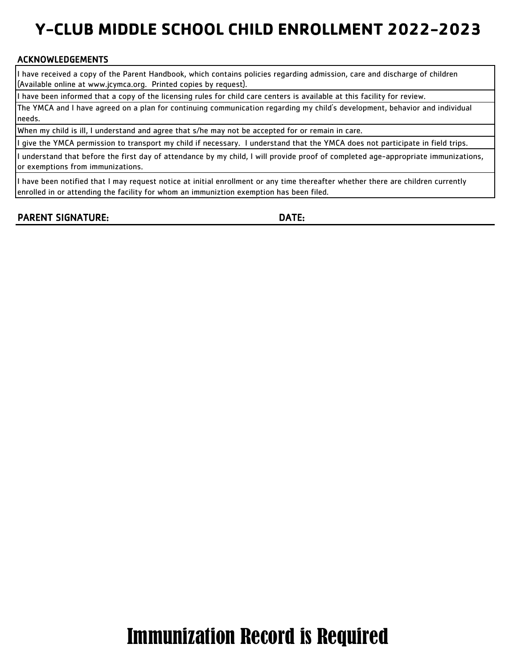### ACKNOWLEDGEMENTS

I have received a copy of the Parent Handbook, which contains policies regarding admission, care and discharge of children (Available online at www.jcymca.org. Printed copies by request).

I have been informed that a copy of the licensing rules for child care centers is available at this facility for review.

The YMCA and I have agreed on a plan for continuing communication regarding my child's development, behavior and individual needs.

When my child is ill, I understand and agree that s/he may not be accepted for or remain in care.

I give the YMCA permission to transport my child if necessary. I understand that the YMCA does not participate in field trips.

I understand that before the first day of attendance by my child, I will provide proof of completed age-appropriate immunizations, or exemptions from immunizations.

I have been notified that I may request notice at initial enrollment or any time thereafter whether there are children currently enrolled in or attending the facility for whom an immuniztion exemption has been filed.

PARENT SIGNATURE: DATE: